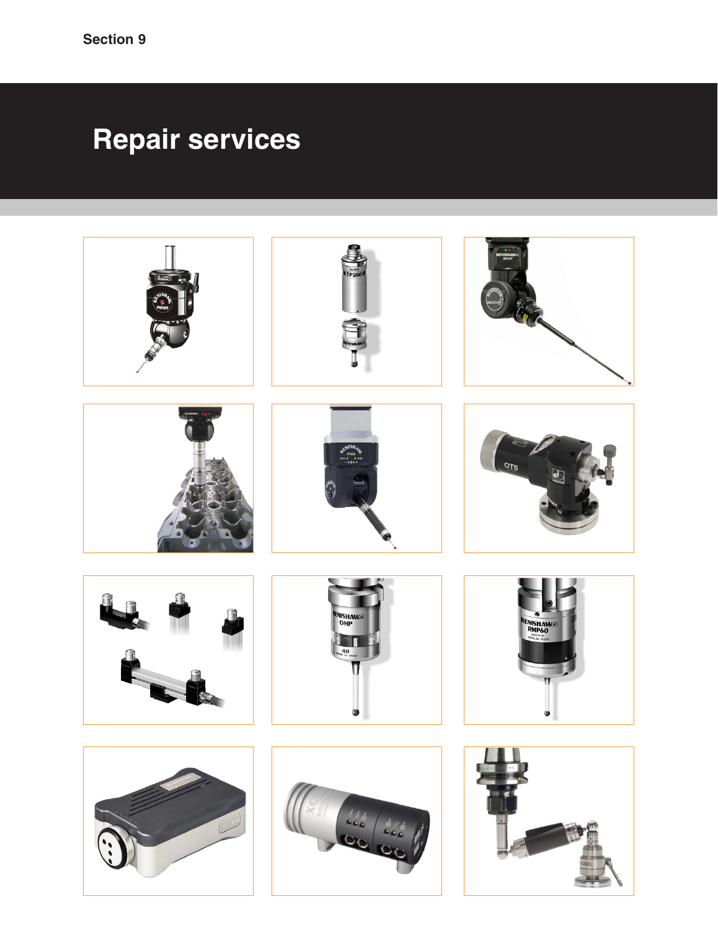# **Repair services**

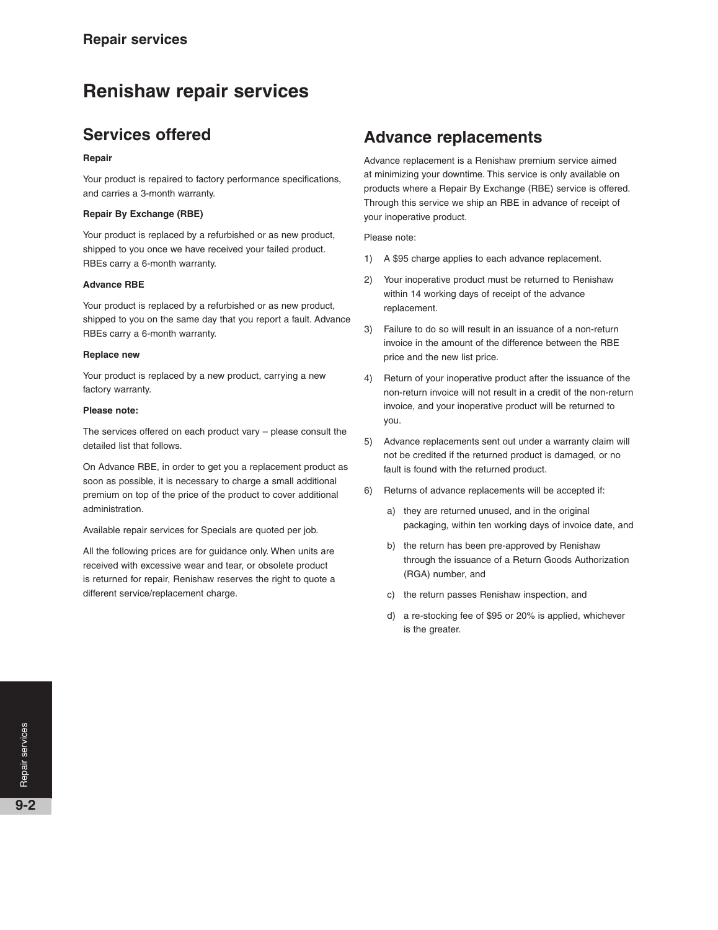# **Renishaw repair services**

## **Services offered**

#### **Repair**

Your product is repaired to factory performance specifications, and carries a 3-month warranty.

#### **Repair By Exchange (RBE)**

Your product is replaced by a refurbished or as new product, shipped to you once we have received your failed product. RBEs carry a 6-month warranty.

#### **Advance RBE**

Your product is replaced by a refurbished or as new product, shipped to you on the same day that you report a fault. Advance RBEs carry a 6-month warranty.

#### **Replace new**

Your product is replaced by a new product, carrying a new factory warranty.

#### **Please note:**

The services offered on each product vary – please consult the detailed list that follows.

On Advance RBE, in order to get you a replacement product as soon as possible, it is necessary to charge a small additional premium on top of the price of the product to cover additional administration.

Available repair services for Specials are quoted per job.

All the following prices are for guidance only. When units are received with excessive wear and tear, or obsolete product is returned for repair, Renishaw reserves the right to quote a different service/replacement charge.

### **Advance replacements**

Advance replacement is a Renishaw premium service aimed at minimizing your downtime. This service is only available on products where a Repair By Exchange (RBE) service is offered. Through this service we ship an RBE in advance of receipt of your inoperative product.

Please note:

- 1) A \$95 charge applies to each advance replacement.
- 2) Your inoperative product must be returned to Renishaw within 14 working days of receipt of the advance replacement.
- 3) Failure to do so will result in an issuance of a non-return invoice in the amount of the difference between the RBE price and the new list price.
- 4) Return of your inoperative product after the issuance of the non-return invoice will not result in a credit of the non-return invoice, and your inoperative product will be returned to you.
- 5) Advance replacements sent out under a warranty claim will not be credited if the returned product is damaged, or no fault is found with the returned product.
- 6) Returns of advance replacements will be accepted if:
	- a) they are returned unused, and in the original packaging, within ten working days of invoice date, and
	- b) the return has been pre-approved by Renishaw through the issuance of a Return Goods Authorization (RGA) number, and
	- c) the return passes Renishaw inspection, and
	- d) a re-stocking fee of \$95 or 20% is applied, whichever is the greater.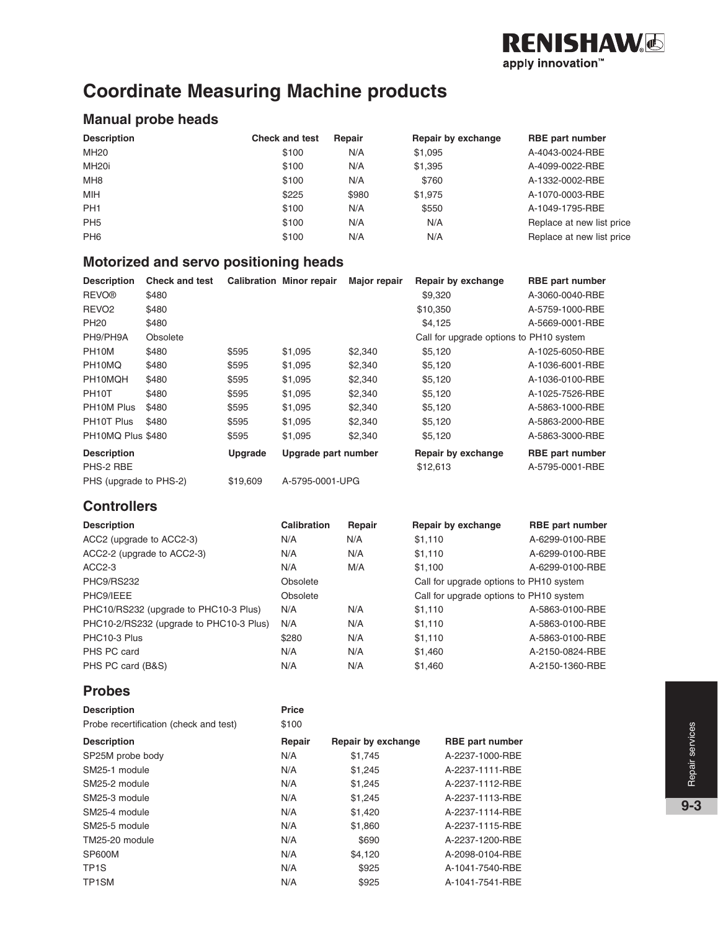

# **Coordinate Measuring Machine products**

#### **Manual probe heads**

| <b>Description</b> | <b>Check and test</b> | Repair | Repair by exchange | <b>RBE</b> part number    |
|--------------------|-----------------------|--------|--------------------|---------------------------|
| MH20               | \$100                 | N/A    | \$1,095            | A-4043-0024-RBE           |
| MH <sub>20i</sub>  | \$100                 | N/A    | \$1,395            | A-4099-0022-RBE           |
| MH <sub>8</sub>    | \$100                 | N/A    | \$760              | A-1332-0002-RBE           |
| <b>MIH</b>         | \$225                 | \$980  | \$1,975            | A-1070-0003-RBE           |
| PH <sub>1</sub>    | \$100                 | N/A    | \$550              | A-1049-1795-RBE           |
| PH <sub>5</sub>    | \$100                 | N/A    | N/A                | Replace at new list price |
| PH <sub>6</sub>    | \$100                 | N/A    | N/A                | Replace at new list price |

#### **Motorized and servo positioning heads**

| <b>Description</b>     | <b>Check and test</b> |                | <b>Calibration Minor repair</b> | <b>Major repair</b> | Repair by exchange                      | <b>RBE</b> part number |
|------------------------|-----------------------|----------------|---------------------------------|---------------------|-----------------------------------------|------------------------|
| <b>REVO®</b>           | \$480                 |                |                                 |                     | \$9,320                                 | A-3060-0040-RBE        |
| REVO <sub>2</sub>      | \$480                 |                |                                 |                     | \$10,350                                | A-5759-1000-RBE        |
| <b>PH20</b>            | \$480                 |                |                                 |                     | \$4,125                                 | A-5669-0001-RBE        |
| PH9/PH9A               | Obsolete              |                |                                 |                     | Call for upgrade options to PH10 system |                        |
| PH <sub>10</sub> M     | \$480                 | \$595          | \$1,095                         | \$2,340             | \$5,120                                 | A-1025-6050-RBE        |
| PH10MQ                 | \$480                 | \$595          | \$1,095                         | \$2,340             | \$5,120                                 | A-1036-6001-RBE        |
| PH10MQH                | \$480                 | \$595          | \$1,095                         | \$2,340             | \$5.120                                 | A-1036-0100-RBE        |
| PH <sub>10</sub> T     | \$480                 | \$595          | \$1,095                         | \$2,340             | \$5,120                                 | A-1025-7526-RBE        |
| PH10M Plus             | \$480                 | \$595          | \$1,095                         | \$2,340             | \$5,120                                 | A-5863-1000-RBE        |
| PH10T Plus             | \$480                 | \$595          | \$1,095                         | \$2,340             | \$5,120                                 | A-5863-2000-RBE        |
| PH10MQ Plus \$480      |                       | \$595          | \$1,095                         | \$2,340             | \$5,120                                 | A-5863-3000-RBE        |
| <b>Description</b>     |                       | <b>Upgrade</b> | Upgrade part number             |                     | Repair by exchange                      | <b>RBE</b> part number |
| PHS-2 RBE              |                       |                |                                 |                     | \$12,613                                | A-5795-0001-RBE        |
| PHS (upgrade to PHS-2) |                       | \$19,609       | A-5795-0001-UPG                 |                     |                                         |                        |

#### **Controllers**

| <b>Description</b>                      | Calibration | Repair | Repair by exchange                      | <b>RBE</b> part number |
|-----------------------------------------|-------------|--------|-----------------------------------------|------------------------|
| ACC2 (upgrade to ACC2-3)                | N/A         | N/A    | \$1.110                                 | A-6299-0100-RBE        |
| ACC2-2 (upgrade to ACC2-3)              | N/A         | N/A    | \$1,110                                 | A-6299-0100-RBE        |
| $ACC2-3$                                | N/A         | M/A    | \$1,100                                 | A-6299-0100-RBE        |
| PHC9/RS232                              | Obsolete    |        | Call for upgrade options to PH10 system |                        |
| PHC9/IEEE                               | Obsolete    |        | Call for upgrade options to PH10 system |                        |
| PHC10/RS232 (upgrade to PHC10-3 Plus)   | N/A         | N/A    | \$1,110                                 | A-5863-0100-RBE        |
| PHC10-2/RS232 (upgrade to PHC10-3 Plus) | N/A         | N/A    | \$1,110                                 | A-5863-0100-RBE        |
| PHC10-3 Plus                            | \$280       | N/A    | \$1,110                                 | A-5863-0100-RBE        |
| PHS PC card                             | N/A         | N/A    | \$1,460                                 | A-2150-0824-RBE        |
| PHS PC card (B&S)                       | N/A         | N/A    | \$1,460                                 | A-2150-1360-RBE        |

#### **Probes**

| <b>Description</b><br>Probe recertification (check and test) | <b>Price</b><br>\$100 |                    |                        |
|--------------------------------------------------------------|-----------------------|--------------------|------------------------|
| <b>Description</b>                                           | Repair                | Repair by exchange | <b>RBE</b> part number |
| SP25M probe body                                             | N/A                   | \$1,745            | A-2237-1000-RBE        |
| SM25-1 module                                                | N/A                   | \$1.245            | A-2237-1111-RBE        |
| SM25-2 module                                                | N/A                   | \$1.245            | A-2237-1112-RBE        |
| SM25-3 module                                                | N/A                   | \$1,245            | A-2237-1113-RBE        |
| SM25-4 module                                                | N/A                   | \$1,420            | A-2237-1114-RBE        |
| SM25-5 module                                                | N/A                   | \$1,860            | A-2237-1115-RBE        |
| TM25-20 module                                               | N/A                   | \$690              | A-2237-1200-RBE        |
| <b>SP600M</b>                                                | N/A                   | \$4.120            | A-2098-0104-RBE        |
| TP <sub>1</sub> S                                            | N/A                   | \$925              | A-1041-7540-RBE        |
| TP1SM                                                        | N/A                   | \$925              | A-1041-7541-RBE        |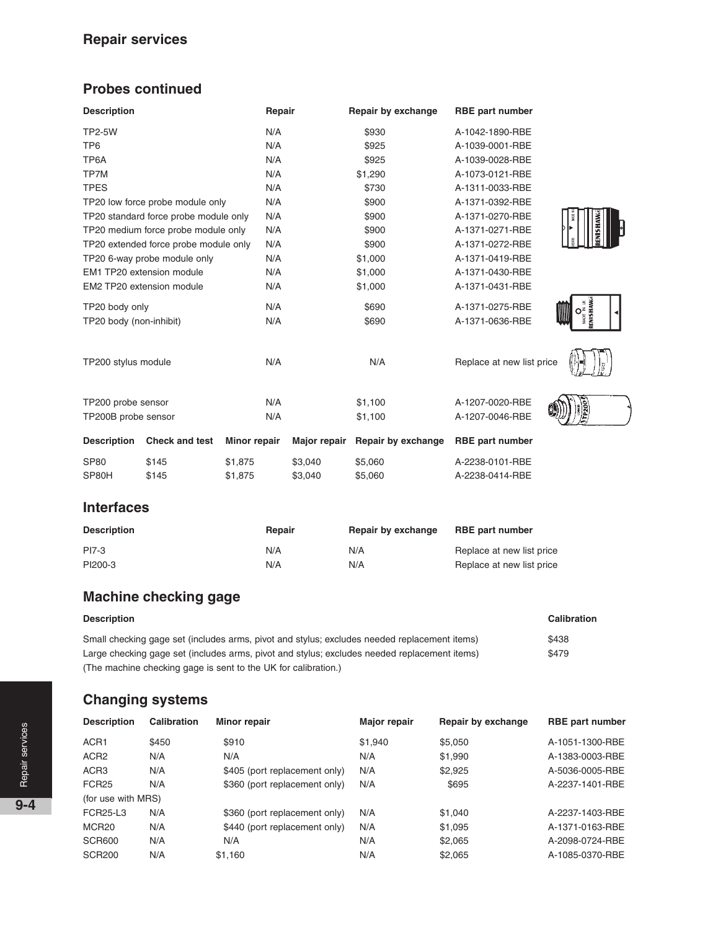## **Repair services**

### **Probes continued**

| <b>Description</b>                    | Repair       | Repair by exchange                     | <b>RBE</b> part number    |                   |
|---------------------------------------|--------------|----------------------------------------|---------------------------|-------------------|
| <b>TP2-5W</b>                         | N/A          | \$930                                  | A-1042-1890-RBE           |                   |
| TP <sub>6</sub>                       | N/A          | \$925                                  | A-1039-0001-RBE           |                   |
| TP6A                                  | N/A          | \$925                                  | A-1039-0028-RBE           |                   |
| TP7M                                  | N/A          | \$1,290                                | A-1073-0121-RBE           |                   |
| <b>TPES</b>                           | N/A          | \$730                                  | A-1311-0033-RBE           |                   |
| TP20 low force probe module only      | N/A          | \$900                                  | A-1371-0392-RBE           |                   |
| TP20 standard force probe module only | N/A          | \$900                                  | A-1371-0270-RBE           | <b>MEN</b>        |
| TP20 medium force probe module only   | N/A          | \$900                                  | A-1371-0271-RBE           |                   |
| TP20 extended force probe module only | N/A          | \$900                                  | A-1371-0272-RBE           | $\frac{6}{30005}$ |
| TP20 6-way probe module only          | N/A          | \$1,000                                | A-1371-0419-RBE           |                   |
| EM1 TP20 extension module             | N/A          | \$1,000                                | A-1371-0430-RBE           |                   |
| EM2 TP20 extension module             | N/A          | \$1,000                                | A-1371-0431-RBE           |                   |
| TP20 body only                        | N/A          | \$690                                  | A-1371-0275-RBE           |                   |
| TP20 body (non-inhibit)               | N/A          | \$690                                  | A-1371-0636-RBE           |                   |
| TP200 stylus module                   | N/A          | N/A                                    | Replace at new list price |                   |
| TP200 probe sensor                    | N/A          | \$1,100                                | A-1207-0020-RBE           |                   |
| TP200B probe sensor                   | N/A          | \$1,100                                | A-1207-0046-RBE           |                   |
| Docorintion<br>Chook and toot         | Minor ropoir | Major ropair <b>Dopair by oxobango</b> | <b>DRE</b> nort numbor    |                   |

|             | Description Check and test Minor repair |         |         | Major repair Repair by exchange RBE part number |                 |
|-------------|-----------------------------------------|---------|---------|-------------------------------------------------|-----------------|
| <b>SP80</b> | \$145                                   | \$1.875 | \$3.040 | \$5,060                                         | A-2238-0101-RBE |
| SP80H       | \$145                                   | \$1,875 | \$3.040 | \$5,060                                         | A-2238-0414-RBE |

#### **Interfaces**

| <b>Description</b> | Repair | Repair by exchange | <b>RBE part number</b>    |
|--------------------|--------|--------------------|---------------------------|
| PI7-3              | N/A    | N/A                | Replace at new list price |
| PI200-3            | N/A    | N/A                | Replace at new list price |

# **Machine checking gage**

| <b>Description</b>                                                                           | Calibration |
|----------------------------------------------------------------------------------------------|-------------|
| Small checking gage set (includes arms, pivot and stylus; excludes needed replacement items) | \$438       |
| Large checking gage set (includes arms, pivot and stylus; excludes needed replacement items) | \$479       |
| (The machine checking gage is sent to the UK for calibration.)                               |             |

#### **Changing systems**

| <b>Description</b> | Calibration | Minor repair                  | Major repair | Repair by exchange | <b>RBE</b> part number |
|--------------------|-------------|-------------------------------|--------------|--------------------|------------------------|
| ACR <sub>1</sub>   | \$450       | \$910                         | \$1,940      | \$5,050            | A-1051-1300-RBE        |
| ACR <sub>2</sub>   | N/A         | N/A                           | N/A          | \$1,990            | A-1383-0003-RBE        |
| ACR <sub>3</sub>   | N/A         | \$405 (port replacement only) | N/A          | \$2,925            | A-5036-0005-RBE        |
| FCR <sub>25</sub>  | N/A         | \$360 (port replacement only) | N/A          | \$695              | A-2237-1401-RBE        |
| (for use with MRS) |             |                               |              |                    |                        |
| <b>FCR25-L3</b>    | N/A         | \$360 (port replacement only) | N/A          | \$1,040            | A-2237-1403-RBE        |
| MCR <sub>20</sub>  | N/A         | \$440 (port replacement only) | N/A          | \$1,095            | A-1371-0163-RBE        |
| <b>SCR600</b>      | N/A         | N/A                           | N/A          | \$2,065            | A-2098-0724-RBE        |
| <b>SCR200</b>      | N/A         | \$1.160                       | N/A          | \$2,065            | A-1085-0370-RBE        |



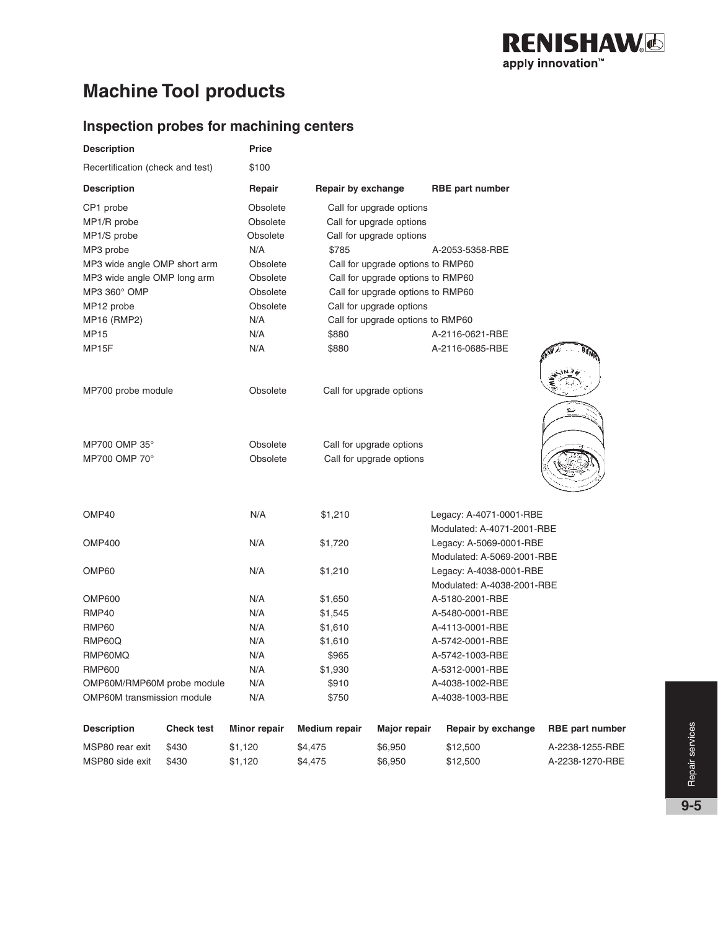

# **Machine Tool products**

### **Inspection probes for machining centers**

| <b>Description</b>                | <b>Price</b> |                                   |                            |
|-----------------------------------|--------------|-----------------------------------|----------------------------|
| Recertification (check and test)  | \$100        |                                   |                            |
| <b>Description</b>                | Repair       | Repair by exchange                | <b>RBE</b> part number     |
| CP1 probe                         | Obsolete     | Call for upgrade options          |                            |
| MP1/R probe                       | Obsolete     | Call for upgrade options          |                            |
| MP1/S probe                       | Obsolete     | Call for upgrade options          |                            |
| MP3 probe                         | N/A          | \$785                             | A-2053-5358-RBE            |
| MP3 wide angle OMP short arm      | Obsolete     | Call for upgrade options to RMP60 |                            |
| MP3 wide angle OMP long arm       | Obsolete     | Call for upgrade options to RMP60 |                            |
| MP3 360° OMP                      | Obsolete     | Call for upgrade options to RMP60 |                            |
| MP12 probe                        | Obsolete     | Call for upgrade options          |                            |
| <b>MP16 (RMP2)</b>                | N/A          | Call for upgrade options to RMP60 |                            |
| MP15                              | N/A          | \$880                             | A-2116-0621-RBE            |
| MP15F                             | N/A          | \$880                             | A-2116-0685-RBE            |
| MP700 probe module                | Obsolete     | Call for upgrade options          |                            |
| MP700 OMP 35°                     | Obsolete     | Call for upgrade options          |                            |
| MP700 OMP 70°                     | Obsolete     | Call for upgrade options          |                            |
| OMP40                             | N/A          | \$1,210                           | Legacy: A-4071-0001-RBE    |
|                                   |              |                                   | Modulated: A-4071-2001-RBE |
| <b>OMP400</b>                     | N/A          | \$1,720                           | Legacy: A-5069-0001-RBE    |
|                                   |              |                                   | Modulated: A-5069-2001-RBE |
| OMP60                             | N/A          | \$1,210                           | Legacy: A-4038-0001-RBE    |
|                                   |              |                                   | Modulated: A-4038-2001-RBE |
| <b>OMP600</b>                     | N/A          | \$1,650                           | A-5180-2001-RBE            |
| RMP40                             | N/A          | \$1,545                           | A-5480-0001-RBE            |
| RMP60                             | N/A          | \$1,610                           | A-4113-0001-RBE            |
| RMP60Q                            | N/A          | \$1,610                           | A-5742-0001-RBE            |
| RMP60MQ                           | N/A          | \$965                             | A-5742-1003-RBE            |
| <b>RMP600</b>                     | N/A          | \$1,930                           | A-5312-0001-RBE            |
| OMP60M/RMP60M probe module        | N/A          | \$910                             | A-4038-1002-RBE            |
| <b>OMP60M</b> transmission module | N/A          | \$750                             | A-4038-1003-RBE            |

| <b>Description</b> | <b>Check test</b> | Minor repair | Medium repair | Maior repair | Repair by exchange | <b>RBE part number</b> |
|--------------------|-------------------|--------------|---------------|--------------|--------------------|------------------------|
| MSP80 rear exit    | \$430             | \$1.120      | \$4.475       | \$6.950      | \$12,500           | A-2238-1255-RBE        |
| MSP80 side exit    | \$430             | \$1.120      | \$4.475       | \$6.950      | \$12,500           | A-2238-1270-RBE        |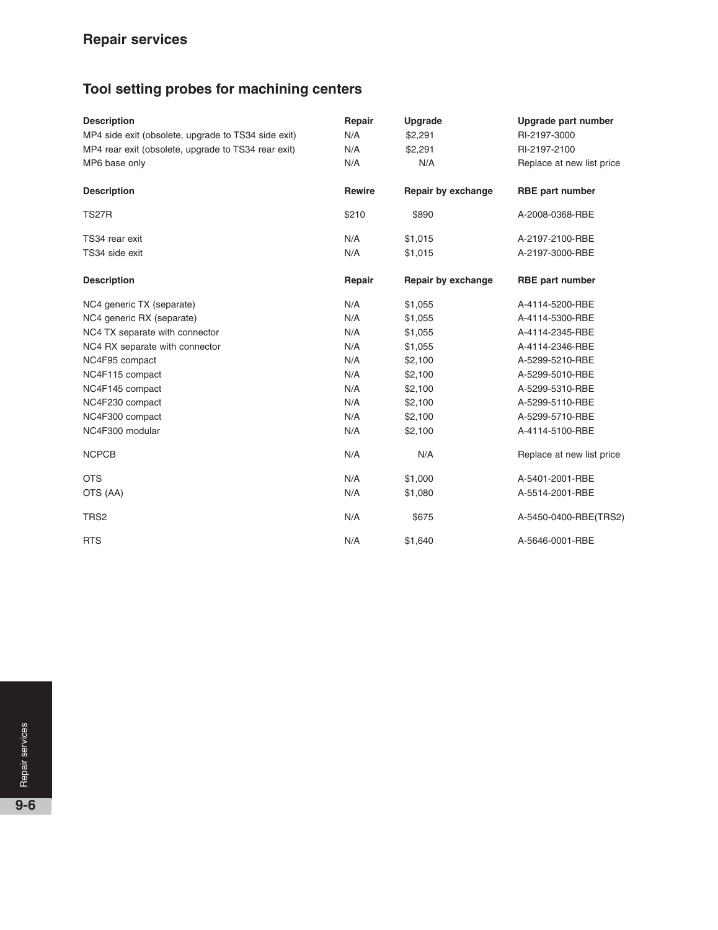# **Tool setting probes for machining centers**

| <b>Description</b>                                  | Repair        | Upgrade            | Upgrade part number       |
|-----------------------------------------------------|---------------|--------------------|---------------------------|
| MP4 side exit (obsolete, upgrade to TS34 side exit) | N/A           | \$2,291            | RI-2197-3000              |
| MP4 rear exit (obsolete, upgrade to TS34 rear exit) | N/A           | \$2,291            | RI-2197-2100              |
| MP6 base only                                       | N/A           | N/A                | Replace at new list price |
| <b>Description</b>                                  | <b>Rewire</b> | Repair by exchange | <b>RBE</b> part number    |
| <b>TS27R</b>                                        | \$210         | \$890              | A-2008-0368-RBE           |
| TS34 rear exit                                      | N/A           | \$1,015            | A-2197-2100-RBE           |
| TS34 side exit                                      | N/A           | \$1,015            | A-2197-3000-RBE           |
| <b>Description</b>                                  | Repair        | Repair by exchange | <b>RBE</b> part number    |
| NC4 generic TX (separate)                           | N/A           | \$1,055            | A-4114-5200-RBE           |
| NC4 generic RX (separate)                           | N/A           | \$1,055            | A-4114-5300-RBE           |
| NC4 TX separate with connector                      | N/A           | \$1,055            | A-4114-2345-RBE           |
| NC4 RX separate with connector                      | N/A           | \$1,055            | A-4114-2346-RBE           |
| NC4F95 compact                                      | N/A           | \$2,100            | A-5299-5210-RBE           |
| NC4F115 compact                                     | N/A           | \$2,100            | A-5299-5010-RBE           |
| NC4F145 compact                                     | N/A           | \$2,100            | A-5299-5310-RBE           |
| NC4F230 compact                                     | N/A           | \$2,100            | A-5299-5110-RBE           |
| NC4F300 compact                                     | N/A           | \$2,100            | A-5299-5710-RBE           |
| NC4F300 modular                                     | N/A           | \$2,100            | A-4114-5100-RBE           |
| <b>NCPCB</b>                                        | N/A           | N/A                | Replace at new list price |
| <b>OTS</b>                                          | N/A           | \$1,000            | A-5401-2001-RBE           |
| OTS (AA)                                            | N/A           | \$1,080            | A-5514-2001-RBE           |
| TRS <sub>2</sub>                                    | N/A           | \$675              | A-5450-0400-RBE(TRS2)     |
| <b>RTS</b>                                          | N/A           | \$1,640            | A-5646-0001-RBE           |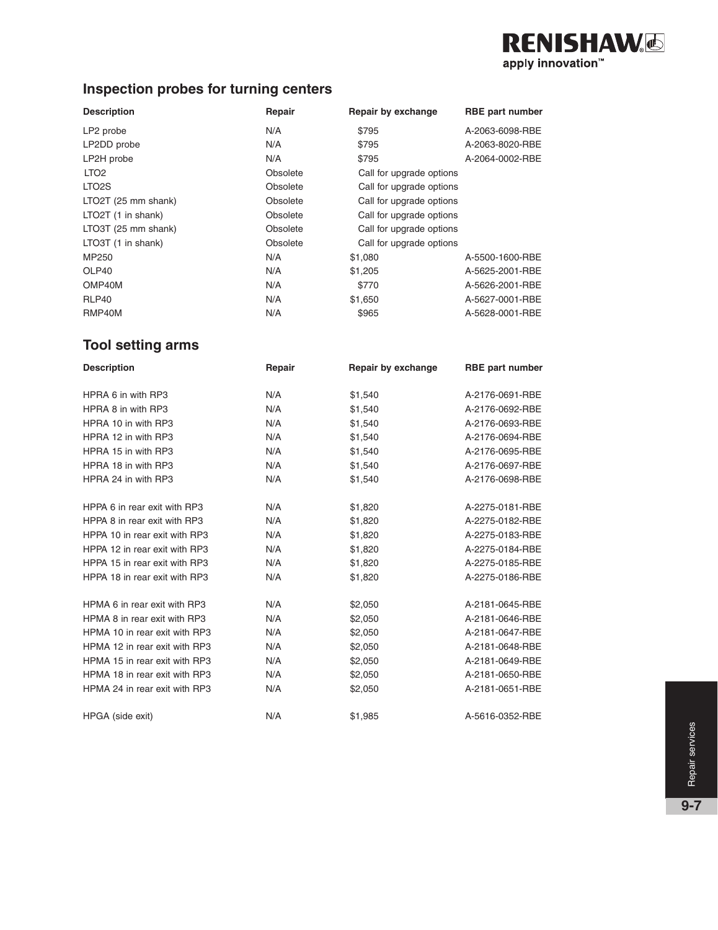# **RENISHAW** apply innovation<sup>™</sup>

# **Inspection probes for turning centers**

| <b>Description</b>  | Repair   | Repair by exchange       | <b>RBE</b> part number |
|---------------------|----------|--------------------------|------------------------|
| LP2 probe           | N/A      | \$795                    | A-2063-6098-RBE        |
| LP2DD probe         | N/A      | \$795                    | A-2063-8020-RBE        |
| LP2H probe          | N/A      | \$795                    | A-2064-0002-RBE        |
| LTO <sub>2</sub>    | Obsolete | Call for upgrade options |                        |
| LTO <sub>2</sub> S  | Obsolete | Call for upgrade options |                        |
| LTO2T (25 mm shank) | Obsolete | Call for upgrade options |                        |
| LTO2T (1 in shank)  | Obsolete | Call for upgrade options |                        |
| LTO3T (25 mm shank) | Obsolete | Call for upgrade options |                        |
| LTO3T (1 in shank)  | Obsolete | Call for upgrade options |                        |
| MP250               | N/A      | \$1,080                  | A-5500-1600-RBE        |
| OLP40               | N/A      | \$1,205                  | A-5625-2001-RBE        |
| OMP40M              | N/A      | \$770                    | A-5626-2001-RBE        |
| RLP40               | N/A      | \$1,650                  | A-5627-0001-RBE        |
| RMP40M              | N/A      | \$965                    | A-5628-0001-RBE        |

## **Tool setting arms**

| <b>Description</b>            | Repair | Repair by exchange | <b>RBE</b> part number |
|-------------------------------|--------|--------------------|------------------------|
|                               |        |                    |                        |
| HPRA 6 in with RP3            | N/A    | \$1,540            | A-2176-0691-RBE        |
| HPRA 8 in with RP3            | N/A    | \$1,540            | A-2176-0692-RBE        |
| HPRA 10 in with RP3           | N/A    | \$1,540            | A-2176-0693-RBE        |
| HPRA 12 in with RP3           | N/A    | \$1,540            | A-2176-0694-RBE        |
| HPRA 15 in with RP3           | N/A    | \$1,540            | A-2176-0695-RBE        |
| HPRA 18 in with RP3           | N/A    | \$1,540            | A-2176-0697-RBE        |
| HPRA 24 in with RP3           | N/A    | \$1,540            | A-2176-0698-RBE        |
| HPPA 6 in rear exit with RP3  | N/A    | \$1,820            | A-2275-0181-RBE        |
| HPPA 8 in rear exit with RP3  | N/A    | \$1,820            | A-2275-0182-RBE        |
| HPPA 10 in rear exit with RP3 | N/A    | \$1,820            | A-2275-0183-RBE        |
| HPPA 12 in rear exit with RP3 | N/A    | \$1,820            | A-2275-0184-RBE        |
| HPPA 15 in rear exit with RP3 | N/A    | \$1,820            | A-2275-0185-RBE        |
| HPPA 18 in rear exit with RP3 | N/A    | \$1,820            | A-2275-0186-RBE        |
| HPMA 6 in rear exit with RP3  | N/A    | \$2,050            | A-2181-0645-RBE        |
| HPMA 8 in rear exit with RP3  | N/A    | \$2,050            | A-2181-0646-RBE        |
| HPMA 10 in rear exit with RP3 | N/A    | \$2,050            | A-2181-0647-RBE        |
| HPMA 12 in rear exit with RP3 | N/A    | \$2,050            | A-2181-0648-RBE        |
| HPMA 15 in rear exit with RP3 | N/A    | \$2,050            | A-2181-0649-RBE        |
| HPMA 18 in rear exit with RP3 | N/A    | \$2,050            | A-2181-0650-RBE        |
| HPMA 24 in rear exit with RP3 | N/A    | \$2,050            | A-2181-0651-RBE        |
| HPGA (side exit)              | N/A    | \$1,985            | A-5616-0352-RBE        |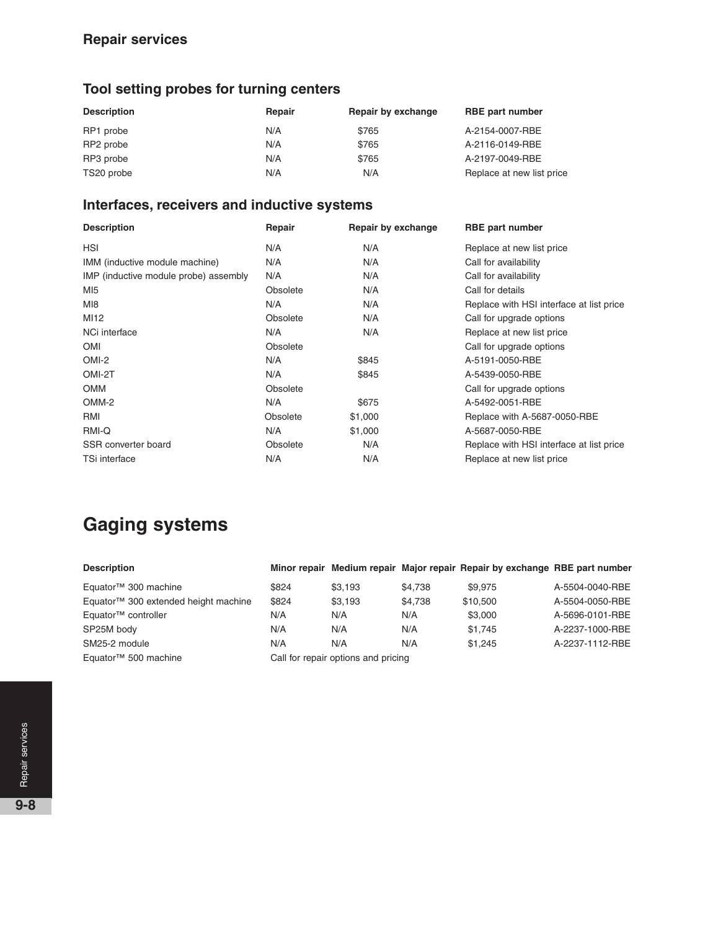#### **Repair services**

# **Tool setting probes for turning centers**

| <b>Description</b> | Repair | Repair by exchange | <b>RBE</b> part number    |
|--------------------|--------|--------------------|---------------------------|
| RP1 probe          | N/A    | \$765              | A-2154-0007-RBE           |
| RP2 probe          | N/A    | \$765              | A-2116-0149-RBE           |
| RP3 probe          | N/A    | \$765              | A-2197-0049-RBE           |
| TS20 probe         | N/A    | N/A                | Replace at new list price |

#### **Interfaces, receivers and inductive systems**

| <b>Description</b>                    | Repair   | Repair by exchange | <b>RBE</b> part number                   |
|---------------------------------------|----------|--------------------|------------------------------------------|
| <b>HSI</b>                            | N/A      | N/A                | Replace at new list price                |
| IMM (inductive module machine)        | N/A      | N/A                | Call for availability                    |
| IMP (inductive module probe) assembly | N/A      | N/A                | Call for availability                    |
| MI <sub>5</sub>                       | Obsolete | N/A                | Call for details                         |
| MI8                                   | N/A      | N/A                | Replace with HSI interface at list price |
| MI12                                  | Obsolete | N/A                | Call for upgrade options                 |
| NCi interface                         | N/A      | N/A                | Replace at new list price                |
| <b>OMI</b>                            | Obsolete |                    | Call for upgrade options                 |
| OMI-2                                 | N/A      | \$845              | A-5191-0050-RBE                          |
| OMI-2T                                | N/A      | \$845              | A-5439-0050-RBE                          |
| <b>OMM</b>                            | Obsolete |                    | Call for upgrade options                 |
| OMM-2                                 | N/A      | \$675              | A-5492-0051-RBE                          |
| RMI                                   | Obsolete | \$1,000            | Replace with A-5687-0050-RBE             |
| RMI-Q                                 | N/A      | \$1,000            | A-5687-0050-RBE                          |
| SSR converter board                   | Obsolete | N/A                | Replace with HSI interface at list price |
| TSi interface                         | N/A      | N/A                | Replace at new list price                |

# **Gaging systems**

| <b>Description</b>                               |       |                                     |         | Minor repair Medium repair Major repair Repair by exchange RBE part number |                 |
|--------------------------------------------------|-------|-------------------------------------|---------|----------------------------------------------------------------------------|-----------------|
| Equator <sup>™</sup> 300 machine                 | \$824 | \$3.193                             | \$4.738 | \$9,975                                                                    | A-5504-0040-RBE |
| Equator <sup>™</sup> 300 extended height machine | \$824 | \$3.193                             | \$4.738 | \$10,500                                                                   | A-5504-0050-RBE |
| Equator <sup>™</sup> controller                  | N/A   | N/A                                 | N/A     | \$3,000                                                                    | A-5696-0101-RBE |
| SP25M body                                       | N/A   | N/A                                 | N/A     | \$1.745                                                                    | A-2237-1000-RBE |
| SM25-2 module                                    | N/A   | N/A                                 | N/A     | \$1.245                                                                    | A-2237-1112-RBE |
| Equator <sup>™</sup> 500 machine                 |       | Call for repair options and pricing |         |                                                                            |                 |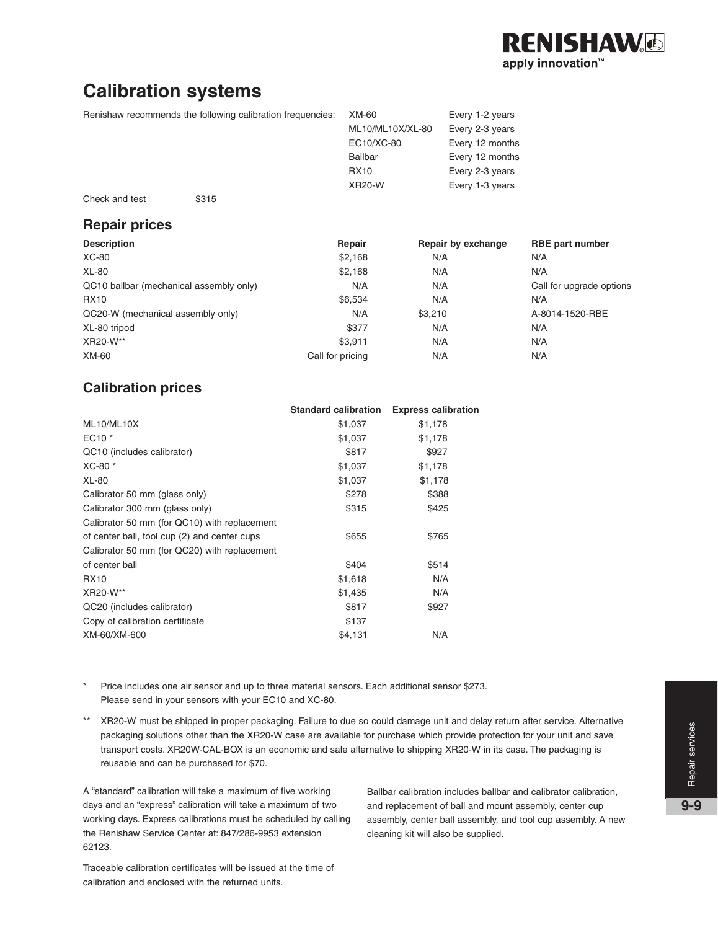

# **Calibration systems**

Renishaw recommends the following calibration frequencies: XM-60 Every 1-2 years

| <u>nonas tho ionoming canciation inoquencies.</u> | $\sim$           | $L$ v $U$ , $V$ $L$ , $V$ $U$ $U$ $U$ |
|---------------------------------------------------|------------------|---------------------------------------|
|                                                   | ML10/ML10X/XL-80 | Every 2-3 years                       |
|                                                   | EC10/XC-80       | Every 12 months                       |
|                                                   | Ballbar          | Every 12 months                       |
|                                                   | <b>RX10</b>      | Every 2-3 years                       |
|                                                   | <b>XR20-W</b>    | Every 1-3 years                       |
|                                                   |                  |                                       |

Check and test \$315

#### **Repair prices**

| <b>Description</b>                      | Repair           | Repair by exchange | <b>RBE</b> part number   |
|-----------------------------------------|------------------|--------------------|--------------------------|
| XC-80                                   | \$2,168          | N/A                | N/A                      |
| <b>XL-80</b>                            | \$2,168          | N/A                | N/A                      |
| QC10 ballbar (mechanical assembly only) | N/A              | N/A                | Call for upgrade options |
| <b>RX10</b>                             | \$6,534          | N/A                | N/A                      |
| QC20-W (mechanical assembly only)       | N/A              | \$3,210            | A-8014-1520-RBE          |
| XL-80 tripod                            | \$377            | N/A                | N/A                      |
| XR20-W**                                | \$3.911          | N/A                | N/A                      |
| XM-60                                   | Call for pricing | N/A                | N/A                      |

#### **Calibration prices**

|                                              | <b>Standard calibration</b> | <b>Express calibration</b> |
|----------------------------------------------|-----------------------------|----------------------------|
| ML10/ML10X                                   | \$1,037                     | \$1,178                    |
| $EC10*$                                      | \$1,037                     | \$1,178                    |
| QC10 (includes calibrator)                   | \$817                       | \$927                      |
| XC-80 *                                      | \$1,037                     | \$1,178                    |
| <b>XL-80</b>                                 | \$1,037                     | \$1,178                    |
| Calibrator 50 mm (glass only)                | \$278                       | \$388                      |
| Calibrator 300 mm (glass only)               | \$315                       | \$425                      |
| Calibrator 50 mm (for QC10) with replacement |                             |                            |
| of center ball, tool cup (2) and center cups | \$655                       | \$765                      |
| Calibrator 50 mm (for QC20) with replacement |                             |                            |
| of center ball                               | \$404                       | \$514                      |
| <b>RX10</b>                                  | \$1,618                     | N/A                        |
| XR20-W**                                     | \$1,435                     | N/A                        |
| QC20 (includes calibrator)                   | \$817                       | \$927                      |
| Copy of calibration certificate              | \$137                       |                            |
| XM-60/XM-600                                 | \$4,131                     | N/A                        |
|                                              |                             |                            |

- \* Price includes one air sensor and up to three material sensors. Each additional sensor \$273. Please send in your sensors with your EC10 and XC-80.
- \*\* XR20-W must be shipped in proper packaging. Failure to due so could damage unit and delay return after service. Alternative packaging solutions other than the XR20-W case are available for purchase which provide protection for your unit and save transport costs. XR20W-CAL-BOX is an economic and safe alternative to shipping XR20-W in its case. The packaging is reusable and can be purchased for \$70.

A "standard" calibration will take a maximum of five working days and an "express" calibration will take a maximum of two working days. Express calibrations must be scheduled by calling the Renishaw Service Center at: 847/286-9953 extension 62123.

Ballbar calibration includes ballbar and calibrator calibration, and replacement of ball and mount assembly, center cup assembly, center ball assembly, and tool cup assembly. A new cleaning kit will also be supplied.

Traceable calibration certificates will be issued at the time of calibration and enclosed with the returned units.